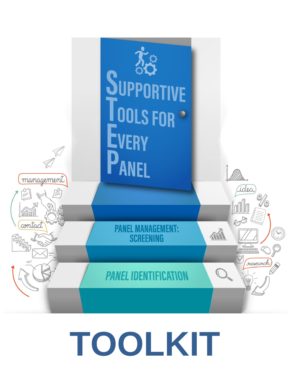

# **TOOLKIT** <sup>1</sup>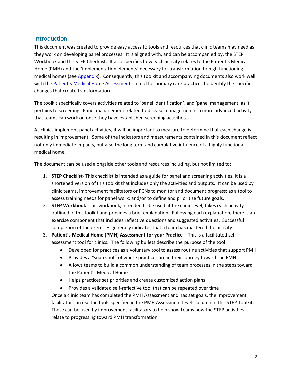## Introduction:

This document was created to provide easy access to tools and resources that clinic teams may need as they work on developing panel processes. It is aligned with, and can be accompanied by, the STEP Workbook and the STEP Checklist. It also specifies how each activity relates to the Patient's Medical Home (PMH) and the 'implementation elements' necessary for transformation to high functioning medical homes (see [Appendix\)](#page-11-0). Consequently, this toolkit and accompanying documents also work well with the [Patient's Medical Home Assessment](http://www.topalbertadoctors.org/file/pmh-assessment-for-practices--readiness.pdf) - a tool for primary care practices to identify the specific changes that create transformation.

The toolkit specifically covers activities related to 'panel identification', and 'panel management' as it pertains to screening. Panel management related to disease management is a more advanced activity that teams can work on once they have established screening activities.

As clinics implement panel activities, it will be important to measure to determine that each change is resulting in improvement. Some of the indicators and measurements contained in this document reflect not only immediate impacts, but also the long term and cumulative influence of a highly functional medical home.

The document can be used alongside other tools and resources including, but not limited to:

- 1. **STEP Checklist** This checklist is intended as a guide for panel and screening activities. It is a shortened version of this toolkit that includes only the activities and outputs. It can be used by clinic teams, improvement facilitators or PCNs to monitor and document progress; as a tool to assess training needs for panel work; and/or to define and prioritize future goals.
- 2. **STEP Workbook** This workbook, intended to be used at the clinic level, takes each activity outlined in this toolkit and provides a brief explanation. Following each explanation, there is an exercise component that includes reflective questions and suggested activities. Successful completion of the exercises generally indicates that a team has mastered the activity.
- 3. **Patient's Medical Home (PMH) Assessment for your Practice** This is a facilitated selfassessment tool for clinics. The following bullets describe the purpose of the tool:
	- Developed for practices as a voluntary tool to assess routine activities that support PMH
	- Provides a "snap shot" of where practices are in their journey toward the PMH
	- Allows teams to build a common understanding of team processes in the steps toward the Patient's Medical Home
	- Helps practices set priorities and create customized action plans
	- Provides a validated self-reflective tool that can be repeated over time

Once a clinic team has completed the PMH Assessment and has set goals, the improvement facilitator can use the tools specified in the PMH Assessment levels column in this STEP Toolkit. These can be used by improvement facilitators to help show teams how the STEP activities relate to progressing toward PMH transformation.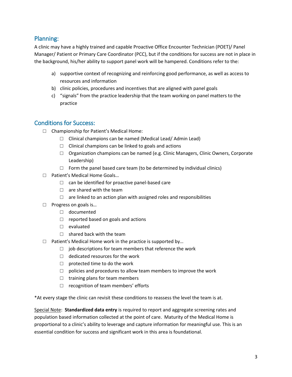## Planning:

A clinic may have a highly trained and capable Proactive Office Encounter Technician (POET)/ Panel Manager/ Patient or Primary Care Coordinator (PCC), but if the conditions for success are not in place in the background, his/her ability to support panel work will be hampered. Conditions refer to the:

- a) supportive context of recognizing and reinforcing good performance, as well as access to resources and information
- b) clinic policies, procedures and incentives that are aligned with panel goals
- c) "signals" from the practice leadership that the team working on panel matters to the practice

## Conditions for Success:

- □ Championship for Patient's Medical Home:
	- □ Clinical champions can be named (Medical Lead/ Admin Lead)
	- $\Box$  Clinical champions can be linked to goals and actions
	- $\Box$  Organization champions can be named (e.g. Clinic Managers, Clinic Owners, Corporate Leadership)
	- $\Box$  Form the panel based care team (to be determined by individual clinics)
- □ Patient's Medical Home Goals...
	- $\Box$  can be identified for proactive panel-based care
	- $\Box$  are shared with the team
	- $\Box$  are linked to an action plan with assigned roles and responsibilities
- □ Progress on goals is...
	- □ documented
	- $\Box$  reported based on goals and actions
	- □ evaluated
	- $\Box$  shared back with the team
- $\Box$  Patient's Medical Home work in the practice is supported by...
	- $\Box$  job descriptions for team members that reference the work
	- $\Box$  dedicated resources for the work
	- $\Box$  protected time to do the work
	- $\Box$  policies and procedures to allow team members to improve the work
	- $\Box$  training plans for team members
	- □ recognition of team members' efforts

\*At every stage the clinic can revisit these conditions to reassess the level the team is at.

Special Note: **Standardized data entry** is required to report and aggregate screening rates and population based information collected at the point of care. Maturity of the Medical Home is proportional to a clinic's ability to leverage and capture information for meaningful use. This is an essential condition for success and significant work in this area is foundational.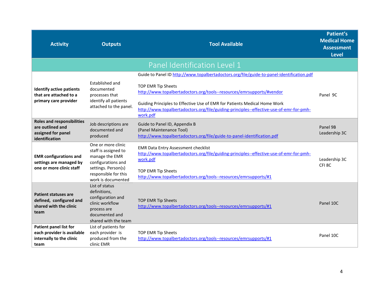| <b>Activity</b>                                                                                 | <b>Outputs</b>                                                                                                                                          | <b>Tool Available</b>                                                                                                                                                                                                                                                           | Patient's<br><b>Medical Home</b><br><b>Assessment</b><br><b>Level</b> |
|-------------------------------------------------------------------------------------------------|---------------------------------------------------------------------------------------------------------------------------------------------------------|---------------------------------------------------------------------------------------------------------------------------------------------------------------------------------------------------------------------------------------------------------------------------------|-----------------------------------------------------------------------|
|                                                                                                 |                                                                                                                                                         | Panel Identification Level 1                                                                                                                                                                                                                                                    |                                                                       |
|                                                                                                 |                                                                                                                                                         | Guide to Panel ID http://www.topalbertadoctors.org/file/guide-to-panel-identification.pdf                                                                                                                                                                                       |                                                                       |
| <b>Identify active patients</b><br>that are attached to a<br>primary care provider              | Established and<br>documented<br>processes that<br>identify all patients<br>attached to the panel.                                                      | TOP EMR Tip Sheets<br>http://www.topalbertadoctors.org/tools--resources/emrsupports/#vendor<br>Guiding Principles to Effective Use of EMR for Patients Medical Home Work<br>http://www.topalbertadoctors.org/file/guiding-principles--effective-use-of-emr-for-pmh-<br>work.pdf | Panel 9C                                                              |
| <b>Roles and responsibilities</b><br>are outlined and<br>assigned for panel<br>identification   | Job descriptions are<br>documented and<br>produced                                                                                                      | Guide to Panel ID, Appendix B<br>(Panel Maintenance Tool)<br>http://www.topalbertadoctors.org/file/guide-to-panel-identification.pdf                                                                                                                                            | Panel 9B<br>Leadership 3C                                             |
| <b>EMR</b> configurations and<br>settings are managed by<br>one or more clinic staff            | One or more clinic<br>staff is assigned to<br>manage the EMR<br>configurations and<br>settings. Person(s)<br>responsible for this<br>work is documented | <b>EMR Data Entry Assessment checklist</b><br>http://www.topalbertadoctors.org/file/guiding-principles--effective-use-of-emr-for-pmh-<br>work.pdf<br><b>TOP EMR Tip Sheets</b><br>http://www.topalbertadoctors.org/tools--resources/emrsupports/#1                              | Leadership 3C<br>CFI <sub>8C</sub>                                    |
| <b>Patient statuses are</b><br>defined, configured and<br>shared with the clinic<br>team        | List of status<br>definitions,<br>configuration and<br>clinic workflow<br>process are<br>documented and<br>shared with the team                         | <b>TOP EMR Tip Sheets</b><br>http://www.topalbertadoctors.org/tools--resources/emrsupports/#1                                                                                                                                                                                   | Panel 10C                                                             |
| <b>Patient panel list for</b><br>each provider is available<br>internally to the clinic<br>team | List of patients for<br>each provider is<br>produced from the<br>clinic EMR                                                                             | TOP EMR Tip Sheets<br>http://www.topalbertadoctors.org/tools--resources/emrsupports/#1                                                                                                                                                                                          | Panel 10C                                                             |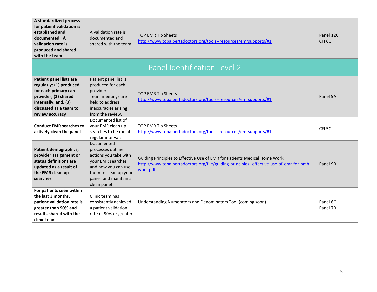| A standardized process<br>for patient validation is<br>established and<br>documented. A<br>validation rate is<br>produced and shared<br>with the team                           | A validation rate is<br>documented and<br>shared with the team.                                                                                                      | TOP EMR Tip Sheets<br>http://www.topalbertadoctors.org/tools--resources/emrsupports/#1                                                                                           | Panel 12C<br>CFI <sub>6C</sub> |
|---------------------------------------------------------------------------------------------------------------------------------------------------------------------------------|----------------------------------------------------------------------------------------------------------------------------------------------------------------------|----------------------------------------------------------------------------------------------------------------------------------------------------------------------------------|--------------------------------|
|                                                                                                                                                                                 |                                                                                                                                                                      | Panel Identification Level 2                                                                                                                                                     |                                |
| <b>Patient panel lists are</b><br>regularly: (1) produced<br>for each primary care<br>provider; (2) shared<br>internally; and, (3)<br>discussed as a team to<br>review accuracy | Patient panel list is<br>produced for each<br>provider.<br>Team meetings are<br>held to address<br>inaccuracies arising<br>from the review.                          | TOP EMR Tip Sheets<br>http://www.topalbertadoctors.org/tools--resources/emrsupports/#1                                                                                           | Panel 9A                       |
| <b>Conduct EMR searches to</b><br>actively clean the panel                                                                                                                      | Documented list of<br>your EMR clean up<br>searches to be run at<br>regular intervals                                                                                | TOP EMR Tip Sheets<br>http://www.topalbertadoctors.org/tools--resources/emrsupports/#1                                                                                           | CFI <sub>5C</sub>              |
| Patient demographics,<br>provider assignment or<br>status definitions are<br>updated as a result of<br>the EMR clean up<br>searches                                             | Documented<br>processes outline<br>actions you take with<br>your EMR searches<br>and how you can use<br>them to clean up your<br>panel and maintain a<br>clean panel | Guiding Principles to Effective Use of EMR for Patients Medical Home Work<br>http://www.topalbertadoctors.org/file/guiding-principles--effective-use-of-emr-for-pmh-<br>work.pdf | Panel 9B                       |
| For patients seen within<br>the last 3 months,<br>patient validation rate is<br>greater than 90% and<br>results shared with the<br>clinic team                                  | Clinic team has<br>consistently achieved<br>a patient validation<br>rate of 90% or greater                                                                           | Understanding Numerators and Denominators Tool (coming soon)                                                                                                                     | Panel 6C<br>Panel 7B           |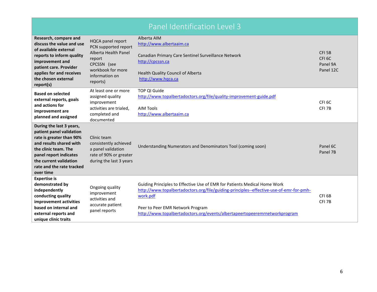|                                                                                                                                                                                                                                   |                                                                                                                                               | Panel Identification Level 3                                                                                                                                                                                                                                                                       |                                                                 |
|-----------------------------------------------------------------------------------------------------------------------------------------------------------------------------------------------------------------------------------|-----------------------------------------------------------------------------------------------------------------------------------------------|----------------------------------------------------------------------------------------------------------------------------------------------------------------------------------------------------------------------------------------------------------------------------------------------------|-----------------------------------------------------------------|
| Research, compare and<br>discuss the value and use<br>of available external<br>reports to inform quality<br>improvement and<br>patient care. Provider<br>applies for and receives<br>the chosen external<br>report(s)             | HQCA panel report<br>PCN supported report<br>Alberta Health Panel<br>report<br>CPCSSN (see<br>workbook for more<br>information on<br>reports) | Alberta AIM<br>http://www.albertaaim.ca<br>Canadian Primary Care Sentinel Surveillance Network<br>http://cpcssn.ca<br>Health Quality Council of Alberta<br>http://www.hqca.ca                                                                                                                      | CFI <sub>5B</sub><br>CFI <sub>6C</sub><br>Panel 9A<br>Panel 12C |
| <b>Based on selected</b><br>external reports, goals<br>and actions for<br>improvement are<br>planned and assigned                                                                                                                 | At least one or more<br>assigned quality<br>improvement<br>activities are trialed,<br>completed and<br>documented                             | <b>TOP QI Guide</b><br>http://www.topalbertadoctors.org/file/quality-improvement-guide.pdf<br><b>AIM Tools</b><br>http://www.albertaaim.ca                                                                                                                                                         | CFI <sub>6C</sub><br>CFI <sub>7B</sub>                          |
| During the last 3 years,<br>patient panel validation<br>rate is greater than 90%<br>and results shared with<br>the clinic team. The<br>panel report indicates<br>the current validation<br>rate and the rate tracked<br>over time | Clinic team<br>consistently achieved<br>a panel validation<br>rate of 90% or greater<br>during the last 3 years                               | Understanding Numerators and Denominators Tool (coming soon)                                                                                                                                                                                                                                       | Panel 6C<br>Panel 7B                                            |
| <b>Expertise is</b><br>demonstrated by<br>independently<br>conducting quality<br>improvement activities<br>based on internal and<br>external reports and<br>unique clinic traits                                                  | Ongoing quality<br>improvement<br>activities and<br>accurate patient<br>panel reports                                                         | Guiding Principles to Effective Use of EMR for Patients Medical Home Work<br>http://www.topalbertadoctors.org/file/guiding-principles--effective-use-of-emr-for-pmh-<br>work.pdf<br>Peer to Peer EMR Network Program<br>http://www.topalbertadoctors.org/events/albertapeertopeeremrnetworkprogram | CFI <sub>6B</sub><br>CFI <sub>7B</sub>                          |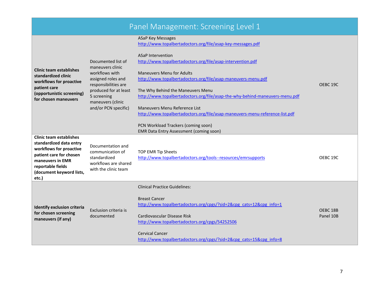# Panel Management: Screening Level 1

ASaP Key Messages

<http://www.topalbertadoctors.org/file/asap-key-messages.pdf>

| Documented list of<br>maneuvers clinic<br>workflows with<br>assigned roles and<br>responsibilities are<br>produced for at least<br>5 screening<br>maneuvers (clinic<br>and/or PCN specific) | <b>ASaP Intervention</b><br>http://www.topalbertadoctors.org/file/asap-intervention.pdf<br><b>Maneuvers Menu for Adults</b><br>http://www.topalbertadoctors.org/file/asap-maneuvers-menu.pdf<br>The Why Behind the Maneuvers Menu<br>http://www.topalbertadoctors.org/file/asap-the-why-behind-maneuvers-menu.pdf<br>Maneuvers Menu Reference List<br>http://www.topalbertadoctors.org/file/asap-maneuvers-menu-reference-list.pdf<br>PCN Workload Trackers (coming soon)<br><b>EMR Data Entry Assessment (coming soon)</b> | OEBC <sub>19C</sub>                                                 |
|---------------------------------------------------------------------------------------------------------------------------------------------------------------------------------------------|-----------------------------------------------------------------------------------------------------------------------------------------------------------------------------------------------------------------------------------------------------------------------------------------------------------------------------------------------------------------------------------------------------------------------------------------------------------------------------------------------------------------------------|---------------------------------------------------------------------|
| Documentation and<br>communication of<br>standardized<br>workflows are shared<br>with the clinic team                                                                                       | TOP EMR Tip Sheets<br>http://www.topalbertadoctors.org/tools--resources/emrsupports                                                                                                                                                                                                                                                                                                                                                                                                                                         | OEBC 19C                                                            |
| Exclusion criteria is<br>documented                                                                                                                                                         | <b>Clinical Practice Guidelines:</b><br><b>Breast Cancer</b><br>http://www.topalbertadoctors.org/cpgs/?sid=2&cpg_cats=12&cpg_info=1<br>Cardiovascular Disease Risk<br>http://www.topalbertadoctors.org/cpgs/54252506<br><b>Cervical Cancer</b>                                                                                                                                                                                                                                                                              | OEBC <sub>18B</sub><br>Panel 10B                                    |
|                                                                                                                                                                                             |                                                                                                                                                                                                                                                                                                                                                                                                                                                                                                                             | http://www.topalbertadoctors.org/cpgs/?sid=2&cpg cats=15&cpg info=8 |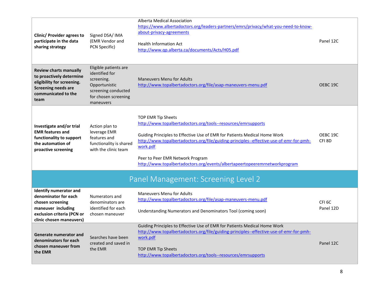| <b>Clinic/ Provider agrees to</b><br>participate in the data<br>sharing strategy                                                                          | Signed DSA/ IMA<br>(EMR Vendor and<br>PCN Specific)                                                                                | <b>Alberta Medical Association</b><br>https://www.albertadoctors.org/leaders-partners/emrs/privacy/what-you-need-to-know-<br>about-privacy-agreements<br><b>Health Information Act</b><br>http://www.qp.alberta.ca/documents/Acts/H05.pdf                                                                                                                                                 | Panel 12C                      |
|-----------------------------------------------------------------------------------------------------------------------------------------------------------|------------------------------------------------------------------------------------------------------------------------------------|-------------------------------------------------------------------------------------------------------------------------------------------------------------------------------------------------------------------------------------------------------------------------------------------------------------------------------------------------------------------------------------------|--------------------------------|
| <b>Review charts manually</b><br>to proactively determine<br>eligibility for screening.<br><b>Screening needs are</b><br>communicated to the<br>team      | Eligible patients are<br>identified for<br>screening.<br>Opportunistic<br>screening conducted<br>for chosen screening<br>maneuvers | <b>Maneuvers Menu for Adults</b><br>http://www.topalbertadoctors.org/file/asap-maneuvers-menu.pdf                                                                                                                                                                                                                                                                                         | OEBC 19C                       |
| Investigate and/or trial<br><b>EMR features and</b><br>functionality to support<br>the automation of<br>proactive screening                               | Action plan to<br>leverage EMR<br>features and<br>functionality is shared<br>with the clinic team                                  | TOP EMR Tip Sheets<br>http://www.topalbertadoctors.org/tools--resources/emrsupports<br>Guiding Principles to Effective Use of EMR for Patients Medical Home Work<br>http://www.topalbertadoctors.org/file/guiding-principles--effective-use-of-emr-for-pmh-<br>work.pdf<br>Peer to Peer EMR Network Program<br>http://www.topalbertadoctors.org/events/albertapeertopeeremrnetworkprogram | OEBC 19C<br>CFI <sub>8D</sub>  |
|                                                                                                                                                           |                                                                                                                                    | Panel Management: Screening Level 2                                                                                                                                                                                                                                                                                                                                                       |                                |
| <b>Identify numerator and</b><br>denominator for each<br>chosen screening<br>maneuver including<br>exclusion criteria (PCN or<br>clinic chosen maneuvers) | Numerators and<br>denominators are<br>identified for each<br>chosen maneuver                                                       | <b>Maneuvers Menu for Adults</b><br>http://www.topalbertadoctors.org/file/asap-maneuvers-menu.pdf<br>Understanding Numerators and Denominators Tool (coming soon)                                                                                                                                                                                                                         | CFI <sub>6C</sub><br>Panel 12D |
| Generate numerator and<br>denominators for each<br>chosen maneuver from<br>the EMR                                                                        | Searches have been<br>created and saved in<br>the EMR                                                                              | Guiding Principles to Effective Use of EMR for Patients Medical Home Work<br>http://www.topalbertadoctors.org/file/guiding-principles--effective-use-of-emr-for-pmh-<br>work.pdf<br>TOP EMR Tip Sheets<br>http://www.topalbertadoctors.org/tools--resources/emrsupports                                                                                                                   | Panel 12C                      |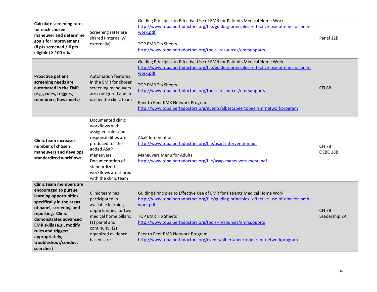| <b>Calculate screening rates</b><br>for each chosen<br>maneuver and determine<br>goals for improvement<br>(# pts screened / # pts<br>eligible) X 100 = %                                                                                                                                 | Screening rates are<br>shared (internally/<br>externally)                                                                                                                                                            | Guiding Principles to Effective Use of EMR for Patients Medical Home Work<br>http://www.topalbertadoctors.org/file/guiding-principles--effective-use-of-emr-for-pmh-<br>work.pdf<br>TOP EMR Tip Sheets<br>http://www.topalbertadoctors.org/tools--resources/emrsupports                                                                                                                   | Panel 12B                          |
|------------------------------------------------------------------------------------------------------------------------------------------------------------------------------------------------------------------------------------------------------------------------------------------|----------------------------------------------------------------------------------------------------------------------------------------------------------------------------------------------------------------------|-------------------------------------------------------------------------------------------------------------------------------------------------------------------------------------------------------------------------------------------------------------------------------------------------------------------------------------------------------------------------------------------|------------------------------------|
| <b>Proactive patient</b><br>screening needs are<br>automated in the EMR<br>(e.g., rules, triggers,<br>reminders, flowsheets)                                                                                                                                                             | <b>Automation features</b><br>in the EMR for chosen<br>screening maneuvers<br>are configured and in<br>use by the clinic team                                                                                        | Guiding Principles to Effective Use of EMR for Patients Medical Home Work<br>http://www.topalbertadoctors.org/file/guiding-principles--effective-use-of-emr-for-pmh-<br>work.pdf<br>TOP EMR Tip Sheets<br>http://www.topalbertadoctors.org/tools--resources/emrsupports<br>Peer to Peer EMR Network Program<br>http://www.topalbertadoctors.org/events/albertapeertopeeremrnetworkprogram | CFI <sub>8B</sub>                  |
| <b>Clinic team increases</b><br>number of chosen<br>maneuvers and develops<br>standardized workflows                                                                                                                                                                                     | Documented clinic<br>workflows with<br>assigned roles and<br>responsibilities are<br>produced for the<br>added ASaP<br>maneuvers<br>Documentation of<br>standardized<br>workflows are shared<br>with the clinic team | <b>ASaP Intervention</b><br>http://www.topalbertadoctors.org/file/asap-intervention.pdf<br><b>Maneuvers Menu for Adults</b><br>http://www.topalbertadoctors.org/file/asap-maneuvers-menu.pdf                                                                                                                                                                                              | CFI <sub>7B</sub><br>OEBC 18B      |
| Clinic team members are<br>encouraged to pursue<br>learning opportunities<br>specifically in the areas<br>of panel, screening and<br>reporting. Clinic<br>demonstrates advanced<br>EMR skills (e.g., modify<br>rules and triggers<br>appropriately,<br>troubleshoot/conduct<br>searches) | Clinic team has<br>participated in<br>available learning<br>opportunities for two<br>medical home pillars:<br>(1) panel and<br>continuity; (2)<br>organized evidence<br>based care                                   | Guiding Principles to Effective Use of EMR for Patients Medical Home Work<br>http://www.topalbertadoctors.org/file/guiding-principles--effective-use-of-emr-for-pmh-<br>work.pdf<br>TOP EMR Tip Sheets<br>http://www.topalbertadoctors.org/tools--resources/emrsupports<br>Peer to Peer EMR Network Program<br>http://www.topalbertadoctors.org/events/albertapeertopeeremrnetworkprogram | CFI <sub>7B</sub><br>Leadership 2A |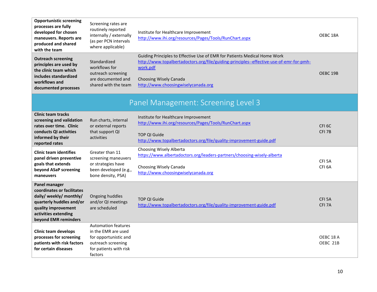| <b>Opportunistic screening</b><br>processes are fully<br>developed for chosen<br>maneuvers. Reports are<br>produced and shared<br>with the team                           | Screening rates are<br>routinely reported<br>internally / externally<br>(as per PCN intervals<br>where applicable)                    | Institute for Healthcare Improvement<br>http://www.ihi.org/resources/Pages/Tools/RunChart.aspx                                                                                                                                                    | OEBC <sub>18A</sub>                      |
|---------------------------------------------------------------------------------------------------------------------------------------------------------------------------|---------------------------------------------------------------------------------------------------------------------------------------|---------------------------------------------------------------------------------------------------------------------------------------------------------------------------------------------------------------------------------------------------|------------------------------------------|
| <b>Outreach screening</b><br>principles are used by<br>the clinic team which<br>includes standardized<br>workflows and<br>documented processes                            | Standardized<br>workflows for<br>outreach screening<br>are documented and<br>shared with the team                                     | Guiding Principles to Effective Use of EMR for Patients Medical Home Work<br>http://www.topalbertadoctors.org/file/guiding-principles--effective-use-of-emr-for-pmh-<br>work.pdf<br>Choosing Wisely Canada<br>http://www.choosingwiselycanada.org | OEBC <sub>19B</sub>                      |
|                                                                                                                                                                           |                                                                                                                                       | Panel Management: Screening Level 3                                                                                                                                                                                                               |                                          |
| <b>Clinic team tracks</b><br>screening and validation<br>rates over time. Clinic<br>conducts QI activities<br>informed by their<br>reported rates                         | Run charts, internal<br>or external reports<br>that support QI<br>activities                                                          | Institute for Healthcare Improvement<br>http://www.ihi.org/resources/Pages/Tools/RunChart.aspx<br><b>TOP QI Guide</b><br>http://www.topalbertadoctors.org/file/quality-improvement-guide.pdf                                                      | CFI <sub>6C</sub><br>CFI <sub>7B</sub>   |
| <b>Clinic team identifies</b><br>panel driven preventive<br>goals that extends<br>beyond ASaP screening<br>maneuvers                                                      | Greater than 11<br>screening maneuvers<br>or strategies have<br>been developed (e.g.,<br>bone density, PSA)                           | Choosing Wisely Alberta<br>https://www.albertadoctors.org/leaders-partners/choosing-wisely-alberta<br>Choosing Wisely Canada<br>http://www.choosingwiselycanada.org                                                                               | CFI <sub>5</sub> A<br>CFI <sub>6</sub> A |
| Panel manager<br>coordinates or facilitates<br>daily/ weekly/ monthly/<br>quarterly huddles and/or<br>quality improvement<br>activities extending<br>beyond EMR reminders | Ongoing huddles<br>and/or QI meetings<br>are scheduled                                                                                | <b>TOP QI Guide</b><br>http://www.topalbertadoctors.org/file/quality-improvement-guide.pdf                                                                                                                                                        | CFI <sub>5</sub> A<br>CFI <sub>7</sub> A |
| <b>Clinic team develops</b><br>processes for screening<br>patients with risk factors<br>for certain diseases                                                              | <b>Automation features</b><br>in the EMR are used<br>for opportunistic and<br>outreach screening<br>for patients with risk<br>factors |                                                                                                                                                                                                                                                   | OEBC <sub>18A</sub><br>OEBC 21B          |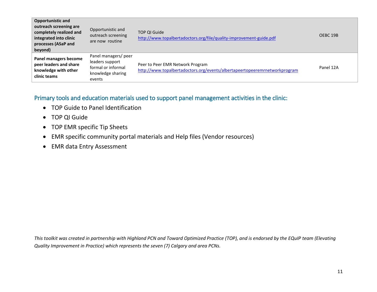| <b>Opportunistic and</b><br>outreach screening are<br>completely realized and<br>integrated into clinic<br>processes (ASaP and<br>beyond) | Opportunistic and<br>outreach screening<br>are now routine                                   | <b>TOP OI Guide</b><br>http://www.topalbertadoctors.org/file/quality-improvement-guide.pdf                     | OEBC 19B  |
|-------------------------------------------------------------------------------------------------------------------------------------------|----------------------------------------------------------------------------------------------|----------------------------------------------------------------------------------------------------------------|-----------|
| Panel managers become<br>peer leaders and share<br>knowledge with other<br>clinic teams                                                   | Panel managers/ peer<br>leaders support<br>formal or informal<br>knowledge sharing<br>events | Peer to Peer EMR Network Program<br>http://www.topalbertadoctors.org/events/albertapeertopeeremrnetworkprogram | Panel 12A |

## Primary tools and education materials used to support panel management activities in the clinic:

- TOP Guide to Panel Identification
- TOP QI Guide
- TOP EMR specific Tip Sheets
- EMR specific community portal materials and Help files (Vendor resources)
- EMR data Entry Assessment

*This toolkit was created in partnership with Highland PCN and Toward Optimized Practice (TOP), and is endorsed by the EQuIP team (Elevating Quality Improvement in Practice) which represents the seven (7) Calgary and area PCNs.*